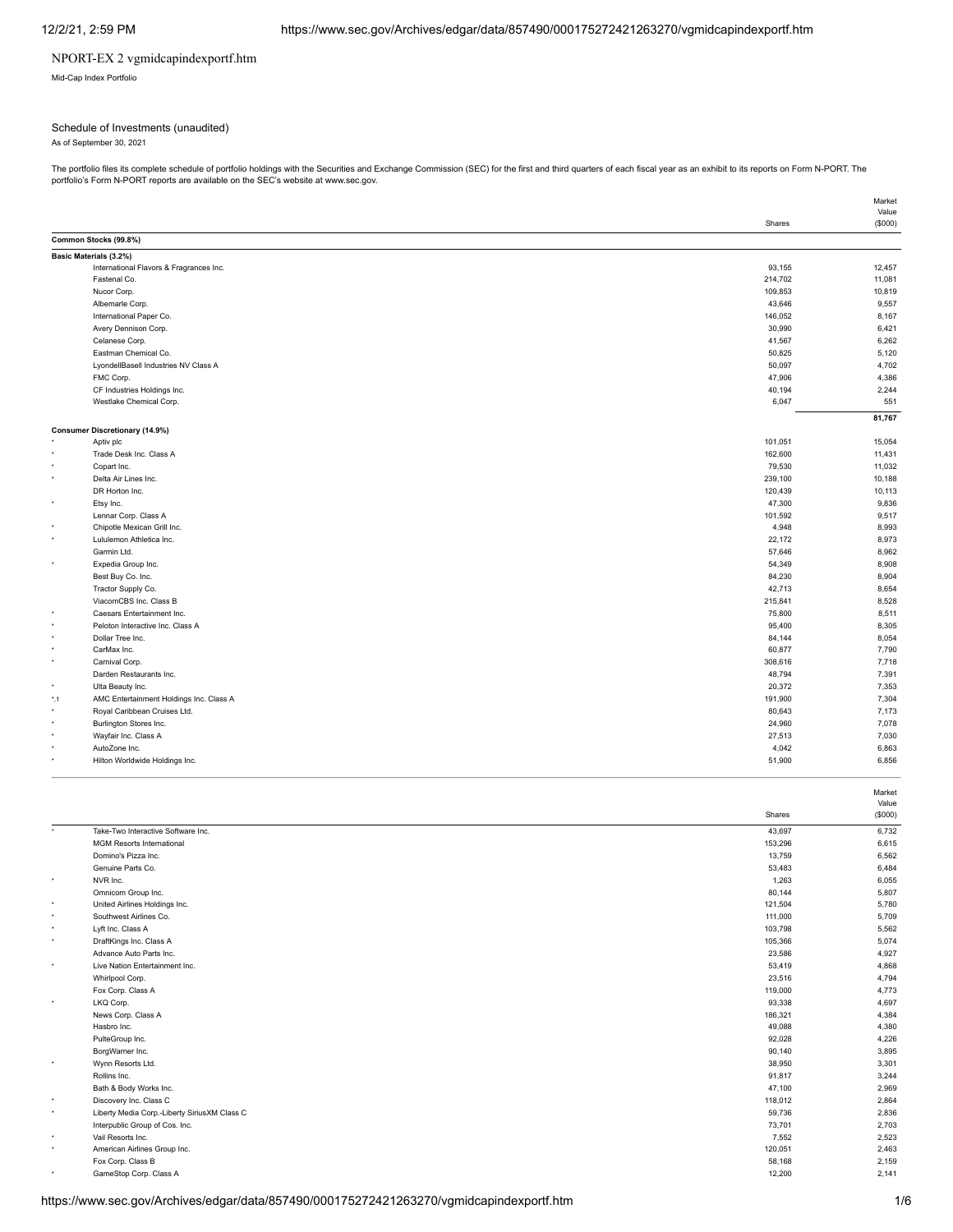### NPORT-EX 2 vgmidcapindexportf.htm

Mid-Cap Index Portfolio

### Schedule of Investments (unaudited)

As of September 30, 2021

The portfolio files its complete schedule of portfolio holdings with the Securities and Exchange Commission (SEC) for the first and third quarters of each fiscal year as an exhibit to its reports on Form N-PORT. The<br>portfo

|               |                                         |         | Market           |
|---------------|-----------------------------------------|---------|------------------|
|               |                                         | Shares  | Value<br>(\$000) |
|               | Common Stocks (99.8%)                   |         |                  |
|               | Basic Materials (3.2%)                  |         |                  |
|               | International Flavors & Fragrances Inc. | 93,155  | 12,457           |
|               | Fastenal Co.                            | 214,702 | 11,081           |
|               | Nucor Corp.                             | 109,853 | 10,819           |
|               | Albemarle Corp.                         | 43,646  | 9,557            |
|               | International Paper Co.                 | 146,052 | 8,167            |
|               | Avery Dennison Corp.                    | 30,990  | 6,421            |
|               | Celanese Corp.                          | 41,567  | 6,262            |
|               | Eastman Chemical Co.                    | 50,825  | 5,120            |
|               | LyondellBasell Industries NV Class A    | 50,097  | 4,702            |
|               | FMC Corp.                               | 47,906  | 4,386            |
|               | CF Industries Holdings Inc.             | 40,194  | 2,244            |
|               |                                         |         |                  |
|               | Westlake Chemical Corp.                 | 6,047   | 551              |
|               | <b>Consumer Discretionary (14.9%)</b>   |         | 81,767           |
|               | Aptiv plc                               | 101,051 | 15,054           |
|               | Trade Desk Inc. Class A                 | 162,600 | 11,431           |
|               | Copart Inc.                             | 79,530  | 11,032           |
| ٠             | Delta Air Lines Inc.                    | 239,100 | 10,188           |
|               | DR Horton Inc.                          | 120,439 | 10,113           |
|               | Etsy Inc.                               | 47,300  | 9,836            |
|               | Lennar Corp. Class A                    | 101,592 | 9,517            |
|               | Chipotle Mexican Grill Inc.             | 4,948   | 8,993            |
| ٠             | Lululemon Athletica Inc.                | 22,172  | 8,973            |
|               | Garmin Ltd.                             | 57,646  | 8,962            |
| ٠             |                                         |         |                  |
|               | Expedia Group Inc.                      | 54,349  | 8,908            |
|               | Best Buy Co. Inc.                       | 84,230  | 8,904            |
|               | Tractor Supply Co.                      | 42,713  | 8,654            |
| ٠             | ViacomCBS Inc. Class B                  | 215,841 | 8,528            |
| w.            | Caesars Entertainment Inc.              | 75,800  | 8,511            |
|               | Peloton Interactive Inc. Class A        | 95,400  | 8,305            |
| ٠             | Dollar Tree Inc.                        | 84,144  | 8,054            |
| ٠             | CarMax Inc.                             | 60,877  | 7,790            |
|               | Carnival Corp.                          | 308,616 | 7,718            |
|               | Darden Restaurants Inc.                 | 48,794  | 7,391            |
|               | Ulta Beauty Inc.                        | 20,372  | 7,353            |
| $^{\star}$ ,1 | AMC Entertainment Holdings Inc. Class A | 191,900 | 7,304            |
|               | Royal Caribbean Cruises Ltd.            | 80,643  | 7,173            |
| ٠             | Burlington Stores Inc.                  | 24,960  | 7,078            |
|               | Wayfair Inc. Class A                    | 27,513  | 7,030            |
| ٠             | AutoZone Inc.                           | 4,042   | 6,863            |
|               | Hilton Worldwide Holdings Inc.          | 51,900  | 6,856            |
|               |                                         |         | Market           |
|               |                                         |         | Value            |
|               |                                         | Shares  | (\$000)          |

|                      |                                              | טיומו ש | (4000) |
|----------------------|----------------------------------------------|---------|--------|
| $\ddot{\phantom{1}}$ | Take-Two Interactive Software Inc.           | 43,697  | 6,732  |
|                      | <b>MGM Resorts International</b>             | 153,296 | 6,615  |
|                      | Domino's Pizza Inc.                          | 13,759  | 6,562  |
|                      | Genuine Parts Co.                            | 53,483  | 6,484  |
| $\star$              | NVR Inc.                                     | 1,263   | 6,055  |
|                      | Omnicom Group Inc.                           | 80,144  | 5,807  |
| $\star$              | United Airlines Holdings Inc.                | 121,504 | 5,780  |
| $\star$              | Southwest Airlines Co.                       | 111,000 | 5,709  |
| $\star$              | Lyft Inc. Class A                            | 103,798 | 5,562  |
| $\star$              | DraftKings Inc. Class A                      | 105,366 | 5,074  |
|                      | Advance Auto Parts Inc.                      | 23,586  | 4,927  |
| $\star$              | Live Nation Entertainment Inc.               | 53,419  | 4,868  |
|                      | Whirlpool Corp.                              | 23,516  | 4,794  |
|                      | Fox Corp. Class A                            | 119,000 | 4,773  |
| $\star$              | LKQ Corp.                                    | 93,338  | 4,697  |
|                      | News Corp. Class A                           | 186,321 | 4,384  |
|                      | Hasbro Inc.                                  | 49,088  | 4,380  |
|                      | PulteGroup Inc.                              | 92,028  | 4,226  |
|                      | BorgWarner Inc.                              | 90,140  | 3,895  |
| $\star$              | Wynn Resorts Ltd.                            | 38,950  | 3,301  |
|                      | Rollins Inc.                                 | 91,817  | 3,244  |
|                      | Bath & Body Works Inc.                       | 47,100  | 2,969  |
| $\star$              | Discovery Inc. Class C                       | 118,012 | 2,864  |
| $\star$              | Liberty Media Corp.-Liberty SiriusXM Class C | 59,736  | 2,836  |
|                      | Interpublic Group of Cos. Inc.               | 73,701  | 2,703  |
| $\star$              | Vail Resorts Inc.                            | 7,552   | 2,523  |
| $\star$              | American Airlines Group Inc.                 | 120,051 | 2,463  |
|                      | Fox Corp. Class B                            | 58,168  | 2,159  |
| $\star$              | GameStop Corp. Class A                       | 12,200  | 2,141  |
|                      |                                              |         |        |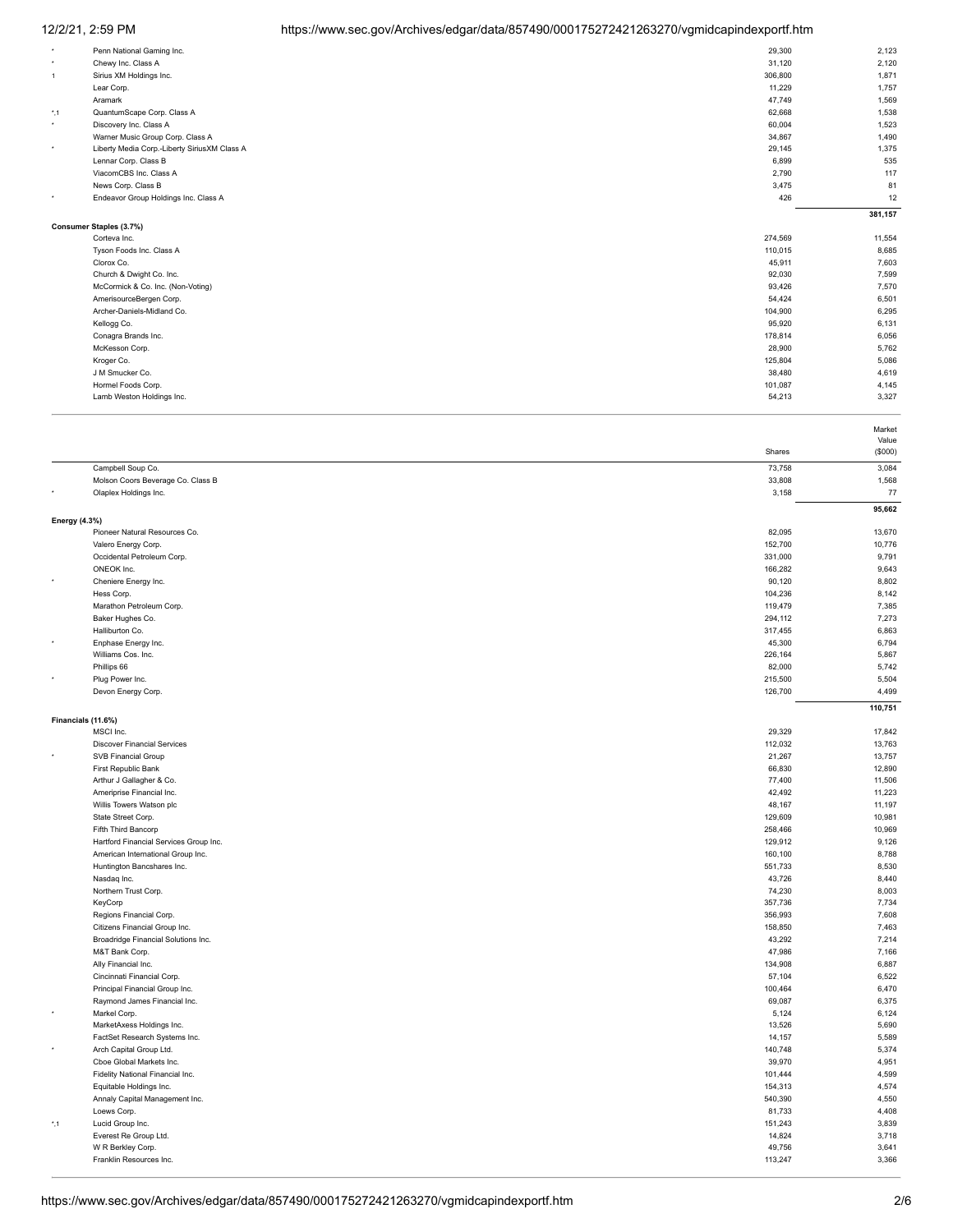# 12/2/21, 2:59 PM https://www.sec.gov/Archives/edgar/data/857490/000175272421263270/vgmidcapindexportf.htm

| $\star$       | Penn National Gaming Inc.                    | 29,300  | 2,123   |
|---------------|----------------------------------------------|---------|---------|
| ۰             | Chewy Inc. Class A                           | 31,120  | 2,120   |
| $\mathbf{1}$  | Sirius XM Holdings Inc.                      | 306,800 | 1,871   |
|               | Lear Corp.                                   | 11,229  | 1,757   |
|               | Aramark                                      | 47,749  | 1,569   |
| $^{\star}$ ,1 | QuantumScape Corp. Class A                   | 62,668  | 1,538   |
| $\star$       | Discovery Inc. Class A                       | 60,004  | 1,523   |
|               | Warner Music Group Corp. Class A             | 34,867  | 1,490   |
| $\star$       | Liberty Media Corp.-Liberty SiriusXM Class A | 29,145  | 1,375   |
|               | Lennar Corp. Class B                         | 6,899   | 535     |
|               | ViacomCBS Inc. Class A                       | 2,790   | 117     |
|               | News Corp. Class B                           | 3,475   | 81      |
| ٠             | Endeavor Group Holdings Inc. Class A         | 426     | 12      |
|               |                                              |         | 381,157 |
|               |                                              |         |         |
|               | Consumer Staples (3.7%)                      |         |         |
|               | Corteva Inc.                                 | 274,569 | 11,554  |
|               | Tyson Foods Inc. Class A                     | 110,015 | 8,685   |
|               | Clorox Co.                                   | 45,911  | 7,603   |
|               | Church & Dwight Co. Inc.                     | 92,030  | 7,599   |
|               | McCormick & Co. Inc. (Non-Voting)            | 93,426  | 7,570   |
|               | AmerisourceBergen Corp.                      | 54,424  | 6,501   |
|               | Archer-Daniels-Midland Co.                   | 104,900 | 6,295   |
|               | Kellogg Co.                                  | 95,920  | 6,131   |
|               | Conagra Brands Inc.                          | 178,814 | 6,056   |
|               | McKesson Corp.                               | 28,900  | 5,762   |
|               | Kroger Co.                                   | 125,804 | 5,086   |
|               | J M Smucker Co.                              | 38,480  | 4,619   |
|               | Hormel Foods Corp.                           | 101,087 | 4,145   |
|               | Lamb Weston Holdings Inc.                    | 54,213  | 3,327   |

|                      |                                           |                   | Market         |
|----------------------|-------------------------------------------|-------------------|----------------|
|                      |                                           |                   | Value          |
|                      |                                           | Shares            | (\$000)        |
|                      | Campbell Soup Co.                         | 73,758            | 3,084          |
|                      | Molson Coors Beverage Co. Class B         | 33,808            | 1,568          |
|                      | Olaplex Holdings Inc.                     | 3,158             | 77             |
|                      |                                           |                   | 95,662         |
| <b>Energy (4.3%)</b> |                                           |                   |                |
|                      | Pioneer Natural Resources Co.             | 82,095            | 13,670         |
|                      | Valero Energy Corp.                       | 152,700           | 10,776         |
|                      | Occidental Petroleum Corp.                | 331,000           | 9,791          |
|                      | ONEOK Inc.                                | 166,282           | 9,643          |
| $\star$              | Cheniere Energy Inc.                      | 90,120            | 8,802          |
|                      | Hess Corp.                                | 104,236           | 8,142          |
|                      | Marathon Petroleum Corp.                  | 119,479           | 7,385          |
|                      | Baker Hughes Co.                          | 294,112           | 7,273          |
|                      | Halliburton Co.                           | 317,455           | 6,863          |
|                      | Enphase Energy Inc.                       | 45,300            | 6,794          |
|                      | Williams Cos. Inc.                        | 226,164           | 5,867          |
|                      | Phillips 66                               | 82,000            | 5,742          |
|                      | Plug Power Inc.                           | 215,500           | 5,504          |
|                      | Devon Energy Corp.                        | 126,700           | 4,499          |
|                      |                                           |                   | 110,751        |
| Financials (11.6%)   |                                           |                   |                |
|                      | MSCI Inc.                                 | 29,329            | 17,842         |
|                      | <b>Discover Financial Services</b>        | 112,032           | 13,763         |
|                      | <b>SVB Financial Group</b>                | 21,267            | 13,757         |
|                      | First Republic Bank                       | 66,830            | 12,890         |
|                      | Arthur J Gallagher & Co.                  | 77,400            | 11,506         |
|                      | Ameriprise Financial Inc.                 | 42,492            | 11,223         |
|                      | Willis Towers Watson plc                  | 48,167            | 11,197         |
|                      | State Street Corp.                        | 129,609           | 10,981         |
|                      | Fifth Third Bancorp                       | 258,466           | 10,969         |
|                      | Hartford Financial Services Group Inc.    | 129,912           | 9,126          |
|                      | American International Group Inc.         | 160,100           | 8,788          |
|                      | Huntington Bancshares Inc.<br>Nasdaq Inc. | 551,733<br>43,726 | 8,530<br>8,440 |
|                      | Northern Trust Corp.                      | 74,230            | 8,003          |
|                      | KeyCorp                                   | 357,736           | 7,734          |
|                      | Regions Financial Corp.                   | 356,993           | 7,608          |
|                      | Citizens Financial Group Inc.             | 158,850           | 7,463          |
|                      | Broadridge Financial Solutions Inc.       | 43,292            | 7,214          |
|                      | M&T Bank Corp.                            | 47,986            | 7,166          |
|                      | Ally Financial Inc.                       | 134,908           | 6,887          |
|                      | Cincinnati Financial Corp.                | 57,104            | 6,522          |
|                      | Principal Financial Group Inc.            | 100,464           | 6,470          |
|                      | Raymond James Financial Inc.              | 69,087            | 6,375          |
| $\star$              | Markel Corp.                              | 5,124             | 6,124          |
|                      | MarketAxess Holdings Inc.                 | 13,526            | 5,690          |
|                      | FactSet Research Systems Inc.             | 14,157            | 5,589          |
|                      | Arch Capital Group Ltd.                   | 140,748           | 5,374          |
|                      | Cboe Global Markets Inc.                  | 39,970            | 4,951          |
|                      | Fidelity National Financial Inc.          | 101,444           | 4,599          |
|                      | Equitable Holdings Inc.                   | 154,313           | 4,574          |
|                      | Annaly Capital Management Inc.            | 540,390           | 4,550          |
|                      | Loews Corp.                               | 81,733            | 4,408          |
| $^{\star}$ ,1        | Lucid Group Inc.                          | 151,243           | 3,839          |
|                      | Everest Re Group Ltd.                     | 14,824            | 3,718          |
|                      | W R Berkley Corp.                         | 49,756            | 3,641          |
|                      | Franklin Resources Inc.                   | 113,247           | 3,366          |
|                      |                                           |                   |                |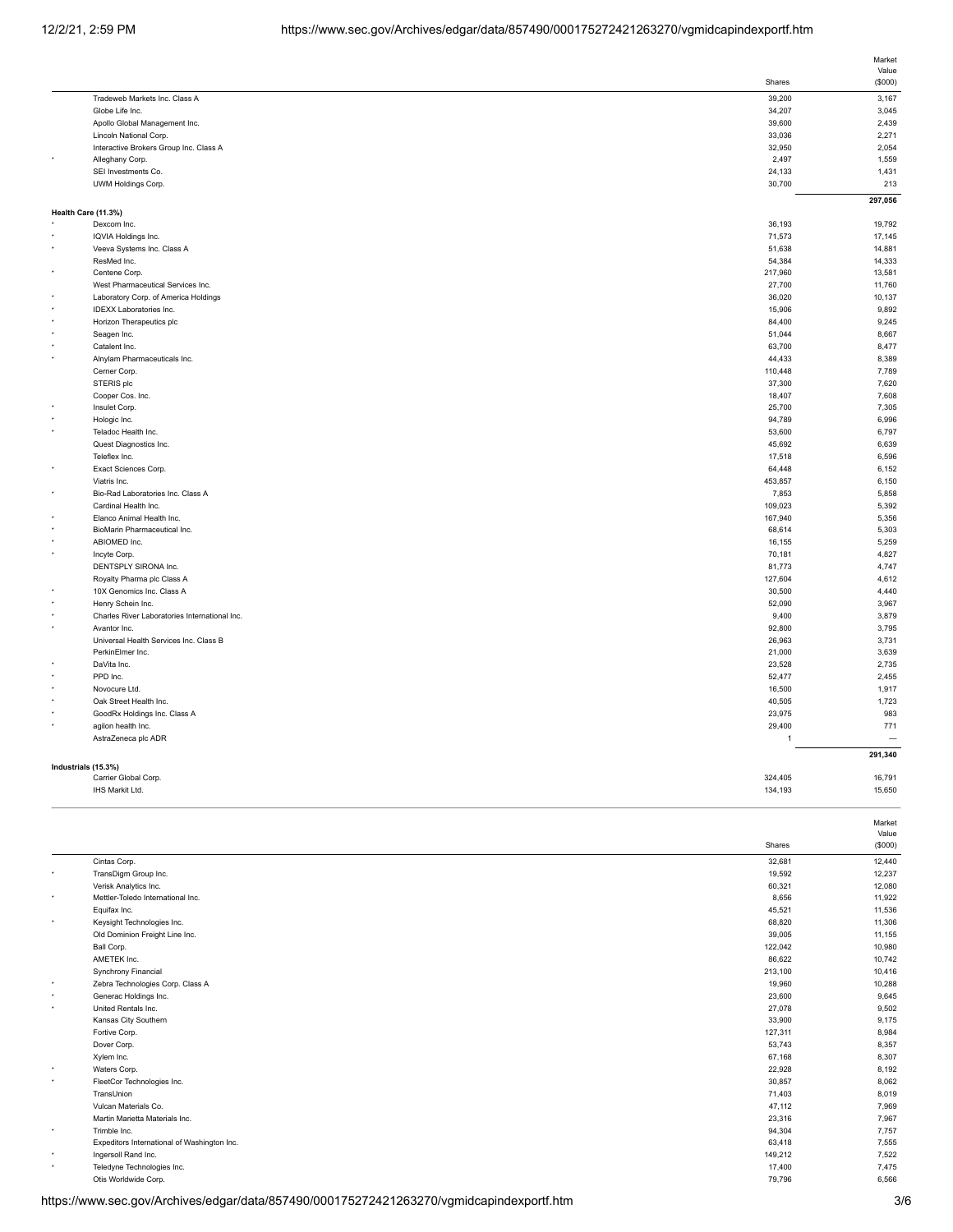|                     |                                                    |                  | Market       |
|---------------------|----------------------------------------------------|------------------|--------------|
|                     |                                                    |                  | Value        |
|                     |                                                    | Shares           | (\$000)      |
|                     | Tradeweb Markets Inc. Class A                      | 39,200           | 3,167        |
|                     | Globe Life Inc.                                    | 34,207           | 3,045        |
|                     | Apollo Global Management Inc.                      | 39,600           | 2,439        |
|                     | Lincoln National Corp.                             | 33,036           | 2,271        |
|                     | Interactive Brokers Group Inc. Class A             | 32,950           | 2,054        |
|                     | Alleghany Corp.                                    | 2,497            | 1,559        |
|                     | SEI Investments Co.                                | 24,133<br>30,700 | 1,431<br>213 |
|                     | UWM Holdings Corp.                                 |                  |              |
|                     |                                                    |                  | 297,056      |
| Health Care (11.3%) | Dexcom Inc.                                        | 36,193           | 19,792       |
|                     | IQVIA Holdings Inc.                                | 71,573           | 17,145       |
|                     | Veeva Systems Inc. Class A                         | 51,638           | 14,881       |
|                     | ResMed Inc.                                        | 54,384           | 14,333       |
|                     |                                                    | 217,960          | 13,581       |
|                     | Centene Corp.<br>West Pharmaceutical Services Inc. | 27,700           | 11,760       |
|                     | Laboratory Corp. of America Holdings               | 36,020           | 10,137       |
|                     |                                                    |                  |              |
|                     | <b>IDEXX Laboratories Inc.</b>                     | 15,906           | 9,892        |
|                     | Horizon Therapeutics plc                           | 84,400           | 9,245        |
|                     | Seagen Inc.                                        | 51,044           | 8,667        |
|                     | Catalent Inc.                                      | 63,700           | 8,477        |
|                     | Alnylam Pharmaceuticals Inc.                       | 44,433           | 8,389        |
|                     | Cerner Corp.                                       | 110,448          | 7,789        |
|                     | STERIS plc                                         | 37,300           | 7,620        |
|                     | Cooper Cos. Inc.                                   | 18,407           | 7,608        |
|                     | Insulet Corp.                                      | 25,700           | 7,305        |
|                     | Hologic Inc.                                       | 94,789           | 6,996        |
|                     | Teladoc Health Inc.                                | 53,600           | 6,797        |
|                     | Quest Diagnostics Inc.                             | 45,692           | 6,639        |
|                     | Teleflex Inc.                                      | 17,518           | 6,596        |
|                     | Exact Sciences Corp.                               | 64,448           | 6,152        |
| $^\star$            | Viatris Inc.                                       | 453,857          | 6,150        |
|                     | Bio-Rad Laboratories Inc. Class A                  | 7,853            | 5,858        |
|                     | Cardinal Health Inc.                               | 109,023          | 5,392        |
|                     | Elanco Animal Health Inc.                          | 167,940          | 5,356        |
|                     | BioMarin Pharmaceutical Inc.                       | 68,614           | 5,303        |
|                     | ABIOMED Inc.                                       | 16,155           | 5,259        |
| $\bullet$           | Incyte Corp.                                       | 70,181           | 4,827        |
|                     | DENTSPLY SIRONA Inc.                               | 81,773           | 4,747        |
|                     | Royalty Pharma plc Class A                         | 127,604          | 4,612        |
|                     | 10X Genomics Inc. Class A                          | 30,500           | 4,440        |
|                     | Henry Schein Inc.                                  | 52,090           | 3,967        |
| $\star$             | Charles River Laboratories International Inc.      | 9,400            | 3,879        |
| $^\star$            | Avantor Inc.                                       | 92,800           | 3,795        |
|                     | Universal Health Services Inc. Class B             | 26,963           | 3,731        |
|                     | PerkinElmer Inc.                                   | 21,000           | 3,639        |
|                     | DaVita Inc.                                        | 23,528           | 2,735        |
|                     | PPD Inc.                                           | 52,477           | 2,455        |
|                     | Novocure Ltd.                                      | 16,500           | 1,917        |
|                     | Oak Street Health Inc.                             | 40,505           | 1,723        |
|                     | GoodRx Holdings Inc. Class A                       | 23,975           | 983          |
|                     | agilon health Inc.                                 | 29,400           | 771          |
|                     | AstraZeneca plc ADR                                | $\overline{1}$   |              |
|                     |                                                    |                  | 291,340      |
| Industrials (15.3%) |                                                    |                  |              |
|                     | Carrier Global Corp.                               | 324,405          | 16,791       |
|                     | IHS Markit Ltd.                                    | 134.193          | 15.650       |

|  |  | i |  |
|--|--|---|--|
|  |  |   |  |

| Cintas Corp.<br>32,681<br>TransDigm Group Inc.<br>19,592<br>٠<br>Verisk Analytics Inc.<br>60,321<br>Mettler-Toledo International Inc.<br>8,656<br>۰<br>45,521<br>Equifax Inc.<br>Keysight Technologies Inc.<br>68,820<br>٠<br>Old Dominion Freight Line Inc.<br>39,005<br>122,042<br>Ball Corp.<br>AMETEK Inc.<br>86,622<br>Synchrony Financial<br>213,100<br>Zebra Technologies Corp. Class A<br>19,960<br>۰<br>Generac Holdings Inc.<br>23,600<br>۰<br>United Rentals Inc.<br>27,078<br>٠<br>33,900<br>Kansas City Southern<br>127,311<br>Fortive Corp.<br>Dover Corp.<br>53,743<br>Xylem Inc.<br>67,168<br>Waters Corp.<br>22,928<br>٠<br>FleetCor Technologies Inc.<br>30,857<br>٠<br>TransUnion<br>71,403<br>Vulcan Materials Co.<br>47,112<br>23,316<br>Martin Marietta Materials Inc.<br>94,304<br>Trimble Inc.<br>$\star$<br>Expeditors International of Washington Inc.<br>63,418<br>Ingersoll Rand Inc.<br>149,212<br>٠<br>Teledyne Technologies Inc.<br>17,400<br>Otis Worldwide Corp.<br>79,796 |  | Shares | Market<br>Value<br>(\$000) |
|-------------------------------------------------------------------------------------------------------------------------------------------------------------------------------------------------------------------------------------------------------------------------------------------------------------------------------------------------------------------------------------------------------------------------------------------------------------------------------------------------------------------------------------------------------------------------------------------------------------------------------------------------------------------------------------------------------------------------------------------------------------------------------------------------------------------------------------------------------------------------------------------------------------------------------------------------------------------------------------------------------------|--|--------|----------------------------|
|                                                                                                                                                                                                                                                                                                                                                                                                                                                                                                                                                                                                                                                                                                                                                                                                                                                                                                                                                                                                             |  |        | 12,440                     |
|                                                                                                                                                                                                                                                                                                                                                                                                                                                                                                                                                                                                                                                                                                                                                                                                                                                                                                                                                                                                             |  |        | 12,237                     |
|                                                                                                                                                                                                                                                                                                                                                                                                                                                                                                                                                                                                                                                                                                                                                                                                                                                                                                                                                                                                             |  |        | 12,080                     |
|                                                                                                                                                                                                                                                                                                                                                                                                                                                                                                                                                                                                                                                                                                                                                                                                                                                                                                                                                                                                             |  |        | 11,922                     |
|                                                                                                                                                                                                                                                                                                                                                                                                                                                                                                                                                                                                                                                                                                                                                                                                                                                                                                                                                                                                             |  |        | 11,536                     |
|                                                                                                                                                                                                                                                                                                                                                                                                                                                                                                                                                                                                                                                                                                                                                                                                                                                                                                                                                                                                             |  |        | 11,306                     |
|                                                                                                                                                                                                                                                                                                                                                                                                                                                                                                                                                                                                                                                                                                                                                                                                                                                                                                                                                                                                             |  |        | 11,155                     |
|                                                                                                                                                                                                                                                                                                                                                                                                                                                                                                                                                                                                                                                                                                                                                                                                                                                                                                                                                                                                             |  |        | 10,980                     |
|                                                                                                                                                                                                                                                                                                                                                                                                                                                                                                                                                                                                                                                                                                                                                                                                                                                                                                                                                                                                             |  |        | 10,742                     |
|                                                                                                                                                                                                                                                                                                                                                                                                                                                                                                                                                                                                                                                                                                                                                                                                                                                                                                                                                                                                             |  |        | 10,416                     |
|                                                                                                                                                                                                                                                                                                                                                                                                                                                                                                                                                                                                                                                                                                                                                                                                                                                                                                                                                                                                             |  |        | 10,288                     |
|                                                                                                                                                                                                                                                                                                                                                                                                                                                                                                                                                                                                                                                                                                                                                                                                                                                                                                                                                                                                             |  |        | 9,645                      |
|                                                                                                                                                                                                                                                                                                                                                                                                                                                                                                                                                                                                                                                                                                                                                                                                                                                                                                                                                                                                             |  |        | 9,502                      |
|                                                                                                                                                                                                                                                                                                                                                                                                                                                                                                                                                                                                                                                                                                                                                                                                                                                                                                                                                                                                             |  |        | 9,175                      |
|                                                                                                                                                                                                                                                                                                                                                                                                                                                                                                                                                                                                                                                                                                                                                                                                                                                                                                                                                                                                             |  |        | 8,984                      |
|                                                                                                                                                                                                                                                                                                                                                                                                                                                                                                                                                                                                                                                                                                                                                                                                                                                                                                                                                                                                             |  |        | 8,357                      |
|                                                                                                                                                                                                                                                                                                                                                                                                                                                                                                                                                                                                                                                                                                                                                                                                                                                                                                                                                                                                             |  |        | 8,307                      |
|                                                                                                                                                                                                                                                                                                                                                                                                                                                                                                                                                                                                                                                                                                                                                                                                                                                                                                                                                                                                             |  |        | 8,192                      |
|                                                                                                                                                                                                                                                                                                                                                                                                                                                                                                                                                                                                                                                                                                                                                                                                                                                                                                                                                                                                             |  |        | 8,062                      |
|                                                                                                                                                                                                                                                                                                                                                                                                                                                                                                                                                                                                                                                                                                                                                                                                                                                                                                                                                                                                             |  |        | 8,019                      |
|                                                                                                                                                                                                                                                                                                                                                                                                                                                                                                                                                                                                                                                                                                                                                                                                                                                                                                                                                                                                             |  |        | 7,969                      |
|                                                                                                                                                                                                                                                                                                                                                                                                                                                                                                                                                                                                                                                                                                                                                                                                                                                                                                                                                                                                             |  |        | 7,967                      |
|                                                                                                                                                                                                                                                                                                                                                                                                                                                                                                                                                                                                                                                                                                                                                                                                                                                                                                                                                                                                             |  |        | 7,757                      |
|                                                                                                                                                                                                                                                                                                                                                                                                                                                                                                                                                                                                                                                                                                                                                                                                                                                                                                                                                                                                             |  |        | 7,555                      |
|                                                                                                                                                                                                                                                                                                                                                                                                                                                                                                                                                                                                                                                                                                                                                                                                                                                                                                                                                                                                             |  |        | 7,522                      |
|                                                                                                                                                                                                                                                                                                                                                                                                                                                                                                                                                                                                                                                                                                                                                                                                                                                                                                                                                                                                             |  |        | 7,475                      |
|                                                                                                                                                                                                                                                                                                                                                                                                                                                                                                                                                                                                                                                                                                                                                                                                                                                                                                                                                                                                             |  |        | 6,566                      |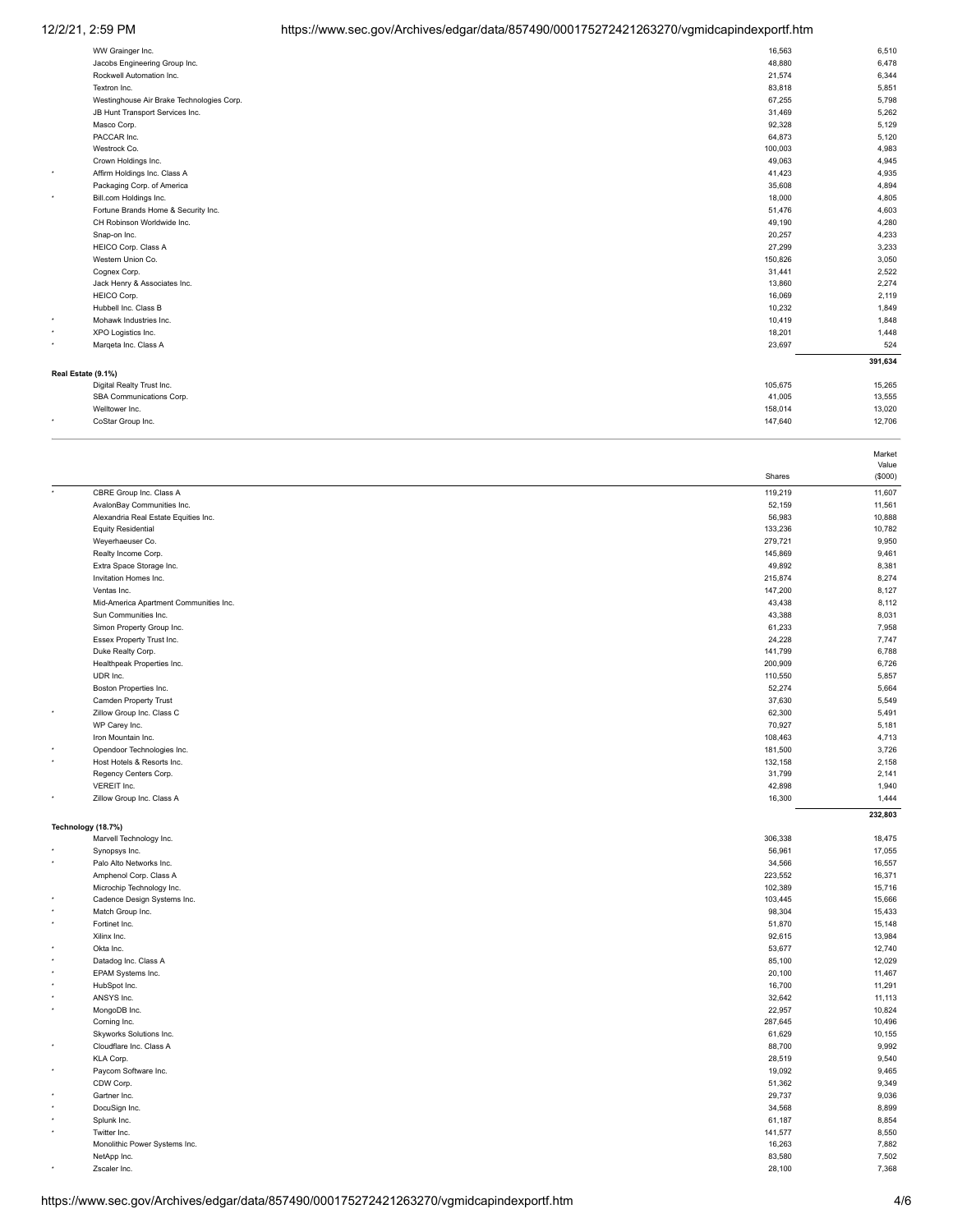# 12/2/21, 2:59 PM https://www.sec.gov/Archives/edgar/data/857490/000175272421263270/vgmidcapindexportf.htm

|                    | WW Grainger Inc.                          | 16,563  | 6,510   |
|--------------------|-------------------------------------------|---------|---------|
|                    | Jacobs Engineering Group Inc.             | 48,880  | 6,478   |
|                    | Rockwell Automation Inc.                  | 21,574  | 6,344   |
|                    | Textron Inc.                              | 83,818  | 5,851   |
|                    | Westinghouse Air Brake Technologies Corp. | 67,255  | 5,798   |
|                    | JB Hunt Transport Services Inc.           | 31,469  | 5,262   |
|                    | Masco Corp.                               | 92,328  | 5,129   |
|                    | PACCAR Inc.                               | 64,873  | 5,120   |
|                    | Westrock Co.                              | 100,003 | 4,983   |
|                    | Crown Holdings Inc.                       | 49,063  | 4,945   |
| ۰                  | Affirm Holdings Inc. Class A              | 41,423  | 4,935   |
|                    | Packaging Corp. of America                | 35,608  | 4,894   |
| ٠                  | Bill.com Holdings Inc.                    | 18,000  | 4,805   |
|                    | Fortune Brands Home & Security Inc.       | 51,476  | 4,603   |
|                    | CH Robinson Worldwide Inc.                | 49,190  | 4,280   |
|                    | Snap-on Inc.                              | 20,257  | 4,233   |
|                    | HEICO Corp. Class A                       | 27,299  | 3,233   |
|                    | Western Union Co.                         | 150,826 | 3,050   |
|                    | Cognex Corp.                              | 31,441  | 2,522   |
|                    | Jack Henry & Associates Inc.              | 13,860  | 2,274   |
|                    | HEICO Corp.                               | 16,069  | 2,119   |
|                    | Hubbell Inc. Class B                      | 10,232  | 1,849   |
| ٠                  | Mohawk Industries Inc.                    | 10,419  | 1,848   |
| ٠                  | XPO Logistics Inc.                        | 18,201  | 1,448   |
| ٠                  | Margeta Inc. Class A                      | 23,697  | 524     |
|                    |                                           |         | 391,634 |
| Real Estate (9.1%) |                                           |         |         |
|                    | Digital Realty Trust Inc.                 | 105,675 | 15,265  |
|                    | SBA Communications Corp.                  | 41,005  | 13,555  |
|                    | Welltower Inc.                            | 158,014 | 13,020  |
| ٠                  | CoStar Group Inc.                         | 147,640 | 12,706  |
|                    |                                           |         |         |

|         |                                          |                  | Value            |
|---------|------------------------------------------|------------------|------------------|
|         |                                          | Shares           | (\$000)          |
|         | CBRE Group Inc. Class A                  | 119,219          | 11,607           |
|         | AvalonBay Communities Inc.               | 52,159           | 11,561           |
|         | Alexandria Real Estate Equities Inc.     | 56,983           | 10,888           |
|         | <b>Equity Residential</b>                | 133,236          | 10,782           |
|         | Weyerhaeuser Co.                         | 279,721          | 9,950            |
|         | Realty Income Corp.                      | 145,869          | 9,461            |
|         | Extra Space Storage Inc.                 | 49,892           | 8,381            |
|         | Invitation Homes Inc.                    | 215,874          | 8,274            |
|         | Ventas Inc.                              | 147,200          | 8,127            |
|         | Mid-America Apartment Communities Inc.   | 43,438           | 8,112            |
|         | Sun Communities Inc.                     | 43,388           | 8,031            |
|         | Simon Property Group Inc.                | 61,233           | 7,958            |
|         | Essex Property Trust Inc.                | 24,228           | 7,747            |
|         | Duke Realty Corp.                        | 141,799          | 6,788            |
|         | Healthpeak Properties Inc.               | 200,909          | 6,726            |
|         | UDR Inc.                                 | 110,550          | 5,857            |
|         | Boston Properties Inc.                   | 52,274           | 5,664            |
|         | <b>Camden Property Trust</b>             | 37,630           | 5,549            |
|         | Zillow Group Inc. Class C                | 62,300           | 5,491            |
|         | WP Carey Inc.                            | 70,927           | 5,181            |
|         | Iron Mountain Inc.                       | 108,463          | 4,713            |
|         | Opendoor Technologies Inc.               | 181,500          | 3,726            |
| ٠       | Host Hotels & Resorts Inc.               | 132,158          | 2,158            |
|         | Regency Centers Corp.                    | 31,799           | 2,141            |
| ٠       | VEREIT Inc.<br>Zillow Group Inc. Class A | 42,898<br>16,300 | 1,940<br>1,444   |
|         |                                          |                  |                  |
|         |                                          |                  | 232,803          |
|         | Technology (18.7%)                       |                  |                  |
|         | Marvell Technology Inc.                  | 306,338          | 18,475           |
|         | Synopsys Inc.<br>Palo Alto Networks Inc. | 56,961<br>34,566 | 17,055<br>16,557 |
|         | Amphenol Corp. Class A                   | 223,552          | 16,371           |
|         | Microchip Technology Inc.                | 102,389          | 15,716           |
|         | Cadence Design Systems Inc.              | 103,445          | 15,666           |
|         | Match Group Inc.                         | 98,304           | 15,433           |
|         | Fortinet Inc.                            | 51,870           | 15,148           |
|         | Xilinx Inc.                              | 92,615           | 13,984           |
|         | Okta Inc.                                | 53,677           | 12,740           |
|         | Datadog Inc. Class A                     | 85,100           | 12,029           |
|         | EPAM Systems Inc.                        | 20,100           | 11,467           |
|         | HubSpot Inc.                             | 16,700           | 11,291           |
|         | ANSYS Inc.                               | 32,642           | 11,113           |
|         | MongoDB Inc.                             | 22,957           | 10,824           |
|         | Corning Inc.                             | 287,645          | 10,496           |
|         | Skyworks Solutions Inc.                  | 61,629           | 10,155           |
| ٠       | Cloudflare Inc. Class A                  | 88,700           | 9,992            |
|         | KLA Corp.                                | 28,519           | 9,540            |
|         | Paycom Software Inc.                     | 19,092           | 9,465            |
|         | CDW Corp.                                | 51,362           | 9,349            |
|         | Gartner Inc.                             | 29,737           | 9,036            |
|         | DocuSign Inc.                            | 34,568           | 8,899            |
|         | Splunk Inc.                              | 61,187           | 8,854            |
| $\star$ | Twitter Inc.                             | 141,577          | 8,550            |
|         | Monolithic Power Systems Inc.            | 16,263           | 7,882            |
|         | NetApp Inc.                              | 83,580           | 7,502            |
|         | Zscaler Inc.                             | 28.100           | 7.368            |

Market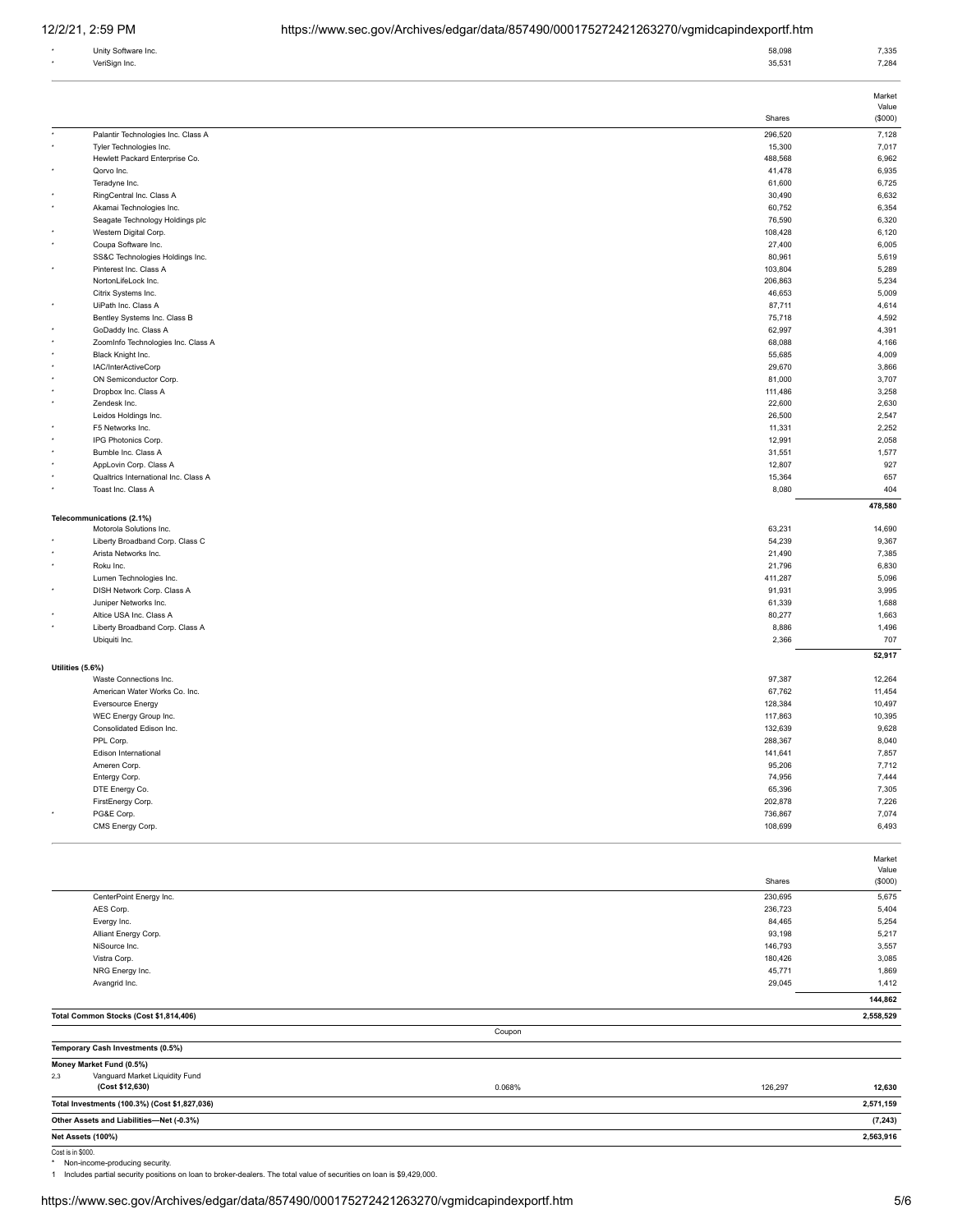| Unity Software Inc. | 58,098 | 7,335 |
|---------------------|--------|-------|
| VeriSign Inc.       | 35,531 | 7,284 |
|                     |        |       |

|                   |                                                      |         | Value                    |
|-------------------|------------------------------------------------------|---------|--------------------------|
|                   |                                                      | Shares  | (\$000)                  |
|                   | Palantir Technologies Inc. Class A                   | 296,520 | 7,128                    |
|                   | Tyler Technologies Inc.                              | 15,300  | 7,017                    |
|                   | Hewlett Packard Enterprise Co.                       | 488,568 | 6,962                    |
|                   | Qorvo Inc.                                           | 41,478  | 6,935                    |
|                   | Teradyne Inc.                                        | 61,600  | 6,725                    |
|                   | RingCentral Inc. Class A                             | 30,490  | 6,632                    |
| ٠                 | Akamai Technologies Inc.                             | 60,752  | 6,354                    |
|                   | Seagate Technology Holdings plc                      | 76,590  | 6,320                    |
|                   | Western Digital Corp.                                | 108,428 | 6,120                    |
| ٠                 | Coupa Software Inc.                                  | 27,400  | 6,005                    |
|                   | SS&C Technologies Holdings Inc.                      | 80,961  | 5,619                    |
|                   | Pinterest Inc. Class A                               | 103,804 | 5,289                    |
|                   | NortonLifeLock Inc.                                  | 206,863 | 5,234                    |
|                   | Citrix Systems Inc.                                  | 46,653  | 5,009                    |
|                   | UiPath Inc. Class A                                  | 87,711  | 4,614                    |
|                   | Bentley Systems Inc. Class B                         | 75,718  | 4,592                    |
|                   | GoDaddy Inc. Class A                                 | 62,997  | 4,391                    |
|                   | ZoomInfo Technologies Inc. Class A                   | 68,088  | 4,166                    |
|                   | Black Knight Inc.                                    | 55,685  | 4,009                    |
|                   | IAC/InterActiveCorp                                  | 29,670  | 3,866                    |
|                   | ON Semiconductor Corp.                               | 81,000  | 3,707                    |
|                   | Dropbox Inc. Class A                                 | 111,486 | 3,258                    |
|                   | Zendesk Inc.                                         | 22,600  | 2,630                    |
|                   | Leidos Holdings Inc.                                 | 26,500  | 2,547                    |
|                   | F5 Networks Inc.                                     | 11,331  | 2,252                    |
|                   | IPG Photonics Corp.                                  | 12,991  | 2,058                    |
|                   | Bumble Inc. Class A                                  | 31,551  | 1,577                    |
|                   | AppLovin Corp. Class A                               | 12,807  | 927                      |
|                   | Qualtrics International Inc. Class A                 | 15,364  | 657                      |
|                   | Toast Inc. Class A                                   | 8,080   | 404                      |
|                   |                                                      |         |                          |
|                   |                                                      |         | 478,580                  |
|                   | Telecommunications (2.1%)<br>Motorola Solutions Inc. | 63,231  | 14,690                   |
|                   | Liberty Broadband Corp. Class C                      | 54,239  | 9,367                    |
|                   | Arista Networks Inc.                                 | 21,490  | 7,385                    |
|                   | Roku Inc.                                            | 21,796  | 6,830                    |
|                   |                                                      |         |                          |
|                   | Lumen Technologies Inc.                              | 411,287 | 5,096                    |
|                   | DISH Network Corp. Class A                           | 91,931  | 3,995                    |
|                   | Juniper Networks Inc.                                | 61,339  | 1,688                    |
| ٠                 | Altice USA Inc. Class A                              | 80,277  | 1,663                    |
|                   | Liberty Broadband Corp. Class A                      | 8,886   | 1,496                    |
|                   | Ubiquiti Inc.                                        | 2,366   | 707                      |
|                   |                                                      |         |                          |
|                   |                                                      |         | 52,917                   |
| Utilities (5.6%)  |                                                      |         |                          |
|                   | Waste Connections Inc.                               | 97,387  | 12,264                   |
|                   | American Water Works Co. Inc.                        | 67,762  | 11,454                   |
|                   | Eversource Energy                                    | 128,384 | 10,497                   |
|                   | WEC Energy Group Inc.                                | 117,863 | 10,395                   |
|                   | Consolidated Edison Inc.                             | 132,639 | 9,628                    |
|                   | PPL Corp.                                            | 288,367 | 8,040                    |
|                   | Edison International                                 | 141,641 | 7,857                    |
|                   | Ameren Corp.                                         | 95,206  | 7,712                    |
|                   | Entergy Corp.                                        | 74,956  | 7,444                    |
|                   | DTE Energy Co.                                       | 65,396  | 7,305                    |
|                   | FirstEnergy Corp.                                    | 202,878 | 7,226                    |
|                   | PG&E Corp.                                           | 736,867 | 7,074                    |
|                   | CMS Energy Corp.                                     | 108,699 |                          |
|                   |                                                      |         |                          |
|                   |                                                      |         |                          |
|                   |                                                      |         | 6,493<br>Market<br>Value |
|                   |                                                      | Shares  |                          |
|                   |                                                      |         |                          |
|                   | CenterPoint Energy Inc.                              | 230,695 | 5,675                    |
|                   | AES Corp.                                            | 236,723 | 5,404                    |
|                   | Evergy Inc.                                          | 84,465  | (\$000)<br>5,254         |
|                   | Alliant Energy Corp.                                 | 93,198  | 5,217                    |
|                   | NiSource Inc.                                        | 146,793 | 3,557                    |
|                   | Vistra Corp.                                         | 180,426 | 3,085                    |
|                   | NRG Energy Inc.                                      | 45,771  | 1,869                    |
|                   | Avangrid Inc.                                        | 29,045  | 1,412                    |
|                   |                                                      |         |                          |
|                   | Total Common Stocks (Cost \$1,814,406)               |         | 2,558,529                |
|                   | Coupon                                               |         |                          |
|                   |                                                      |         |                          |
|                   | Temporary Cash Investments (0.5%)                    |         |                          |
|                   | Money Market Fund (0.5%)                             |         |                          |
| 2,3               | Vanguard Market Liquidity Fund                       |         |                          |
|                   | (Cost \$12,630)<br>0.068%                            | 126,297 | 144,862<br>12,630        |
|                   | Total Investments (100.3%) (Cost \$1,827,036)        |         | 2,571,159                |
|                   | Other Assets and Liabilities-Net (-0.3%)             |         | (7, 243)                 |
| Net Assets (100%) |                                                      |         | 2,563,916                |

Cost is in \$000.<br>\* Non-income-producing security.<br>1 Includes partial security positions on loan to broker-dealers. The total value of securities on loan is \$9,429,000.